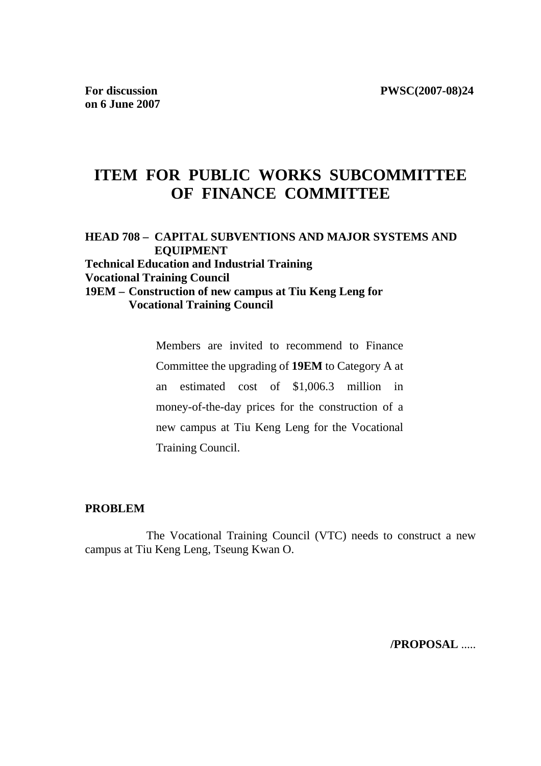# **ITEM FOR PUBLIC WORKS SUBCOMMITTEE OF FINANCE COMMITTEE**

### **HEAD 708 – CAPITAL SUBVENTIONS AND MAJOR SYSTEMS AND EQUIPMENT Technical Education and Industrial Training Vocational Training Council 19EM – Construction of new campus at Tiu Keng Leng for Vocational Training Council**

Members are invited to recommend to Finance Committee the upgrading of **19EM** to Category A at an estimated cost of \$1,006.3 million in money-of-the-day prices for the construction of a new campus at Tiu Keng Leng for the Vocational Training Council.

#### **PROBLEM**

 The Vocational Training Council (VTC) needs to construct a new campus at Tiu Keng Leng, Tseung Kwan O.

**/PROPOSAL** .....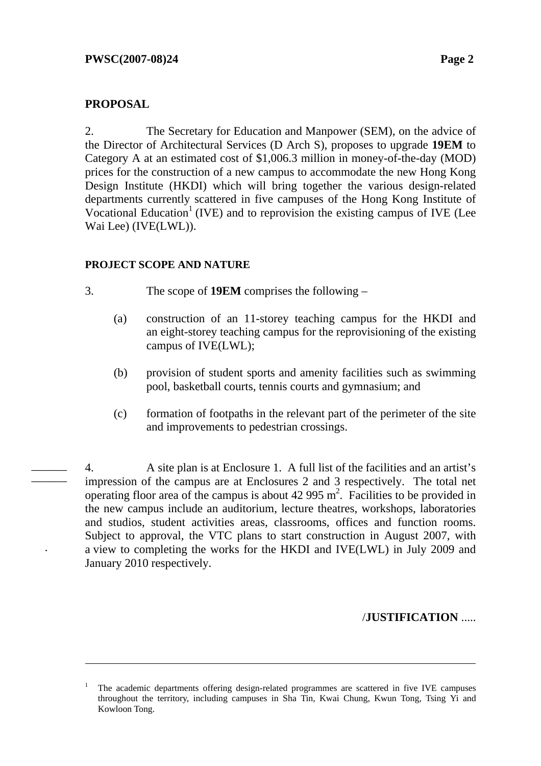# **PROPOSAL**

l

.

 $\overline{\phantom{a}}$ \_\_\_\_\_\_ 2. The Secretary for Education and Manpower (SEM), on the advice of the Director of Architectural Services (D Arch S), proposes to upgrade **19EM** to Category A at an estimated cost of \$1,006.3 million in money-of-the-day (MOD) prices for the construction of a new campus to accommodate the new Hong Kong Design Institute (HKDI) which will bring together the various design-related departments currently scattered in five campuses of the Hong Kong Institute of Vocational Education<sup>1</sup> (IVE) and to reprovision the existing campus of IVE (Lee Wai Lee) (IVE(LWL)).

# **PROJECT SCOPE AND NATURE**

- 3. The scope of **19EM** comprises the following
	- (a) construction of an 11-storey teaching campus for the HKDI and an eight-storey teaching campus for the reprovisioning of the existing campus of IVE(LWL);
	- (b) provision of student sports and amenity facilities such as swimming pool, basketball courts, tennis courts and gymnasium; and
	- (c) formation of footpaths in the relevant part of the perimeter of the site and improvements to pedestrian crossings.

4. A site plan is at Enclosure 1.A full list of the facilities and an artist's impression of the campus are at Enclosures 2 and 3 respectively. The total net operating floor area of the campus is about  $42\,995 \text{ m}^2$ . Facilities to be provided in the new campus include an auditorium, lecture theatres, workshops, laboratories and studios, student activities areas, classrooms, offices and function rooms. Subject to approval, the VTC plans to start construction in August 2007, with a view to completing the works for the HKDI and IVE(LWL) in July 2009 and January 2010 respectively.

# /**JUSTIFICATION** .....

<sup>1</sup> The academic departments offering design-related programmes are scattered in five IVE campuses throughout the territory, including campuses in Sha Tin, Kwai Chung, Kwun Tong, Tsing Yi and Kowloon Tong.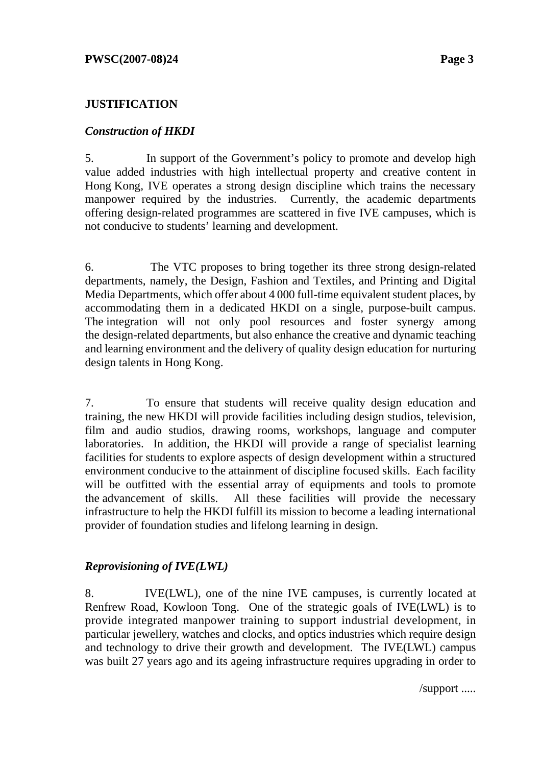## **JUSTIFICATION**

### *Construction of HKDI*

5. In support of the Government's policy to promote and develop high value added industries with high intellectual property and creative content in Hong Kong, IVE operates a strong design discipline which trains the necessary manpower required by the industries. Currently, the academic departments offering design-related programmes are scattered in five IVE campuses, which is not conducive to students' learning and development.

6. The VTC proposes to bring together its three strong design-related departments, namely, the Design, Fashion and Textiles, and Printing and Digital Media Departments, which offer about 4 000 full-time equivalent student places, by accommodating them in a dedicated HKDI on a single, purpose-built campus. The integration will not only pool resources and foster synergy among the design-related departments, but also enhance the creative and dynamic teaching and learning environment and the delivery of quality design education for nurturing design talents in Hong Kong.

7. To ensure that students will receive quality design education and training, the new HKDI will provide facilities including design studios, television, film and audio studios, drawing rooms, workshops, language and computer laboratories. In addition, the HKDI will provide a range of specialist learning facilities for students to explore aspects of design development within a structured environment conducive to the attainment of discipline focused skills. Each facility will be outfitted with the essential array of equipments and tools to promote the advancement of skills. All these facilities will provide the necessary infrastructure to help the HKDI fulfill its mission to become a leading international provider of foundation studies and lifelong learning in design.

### *Reprovisioning of IVE(LWL)*

8. IVE(LWL), one of the nine IVE campuses, is currently located at Renfrew Road, Kowloon Tong. One of the strategic goals of IVE(LWL) is to provide integrated manpower training to support industrial development, in particular jewellery, watches and clocks, and optics industries which require design and technology to drive their growth and development. The IVE(LWL) campus was built 27 years ago and its ageing infrastructure requires upgrading in order to

/support .....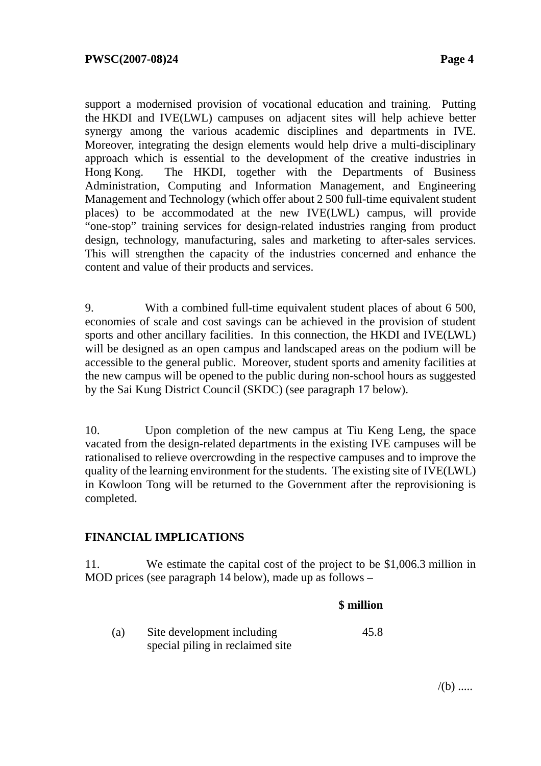support a modernised provision of vocational education and training. Putting the HKDI and IVE(LWL) campuses on adjacent sites will help achieve better synergy among the various academic disciplines and departments in IVE. Moreover, integrating the design elements would help drive a multi-disciplinary approach which is essential to the development of the creative industries in Hong Kong. The HKDI, together with the Departments of Business Administration, Computing and Information Management, and Engineering Management and Technology (which offer about 2 500 full-time equivalent student places) to be accommodated at the new IVE(LWL) campus, will provide "one-stop" training services for design-related industries ranging from product design, technology, manufacturing, sales and marketing to after-sales services. This will strengthen the capacity of the industries concerned and enhance the content and value of their products and services.

9. With a combined full-time equivalent student places of about 6 500, economies of scale and cost savings can be achieved in the provision of student sports and other ancillary facilities. In this connection, the HKDI and IVE(LWL) will be designed as an open campus and landscaped areas on the podium will be accessible to the general public. Moreover, student sports and amenity facilities at the new campus will be opened to the public during non-school hours as suggested by the Sai Kung District Council (SKDC) (see paragraph 17 below).

10. Upon completion of the new campus at Tiu Keng Leng, the space vacated from the design-related departments in the existing IVE campuses will be rationalised to relieve overcrowding in the respective campuses and to improve the quality of the learning environment for the students. The existing site of IVE(LWL) in Kowloon Tong will be returned to the Government after the reprovisioning is completed.

### **FINANCIAL IMPLICATIONS**

11. We estimate the capital cost of the project to be \$1,006.3 million in MOD prices (see paragraph 14 below), made up as follows –

#### **\$ million**

| (a) | Site development including       | 45.8 |
|-----|----------------------------------|------|
|     | special piling in reclaimed site |      |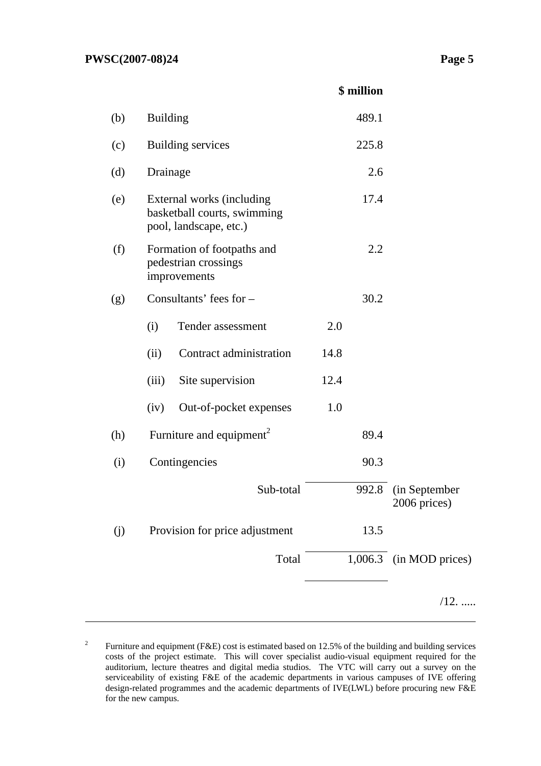|     |                                                                                    |                                      | \$ million |                               |
|-----|------------------------------------------------------------------------------------|--------------------------------------|------------|-------------------------------|
| (b) | <b>Building</b>                                                                    |                                      | 489.1      |                               |
| (c) |                                                                                    | <b>Building services</b>             | 225.8      |                               |
| (d) | Drainage                                                                           |                                      | 2.6        |                               |
| (e) | External works (including<br>basketball courts, swimming<br>pool, landscape, etc.) |                                      | 17.4       |                               |
| (f) | Formation of footpaths and<br>pedestrian crossings<br>improvements                 |                                      | 2.2        |                               |
| (g) |                                                                                    | Consultants' fees for -              | 30.2       |                               |
|     | (i)                                                                                | Tender assessment                    | 2.0        |                               |
|     | (ii)                                                                               | Contract administration              | 14.8       |                               |
|     | (iii)                                                                              | Site supervision                     | 12.4       |                               |
|     | (iv)                                                                               | Out-of-pocket expenses               | 1.0        |                               |
| (h) |                                                                                    | Furniture and equipment <sup>2</sup> | 89.4       |                               |
| (i) |                                                                                    | Contingencies                        | 90.3       |                               |
|     |                                                                                    | Sub-total                            | 992.8      | (in September<br>2006 prices) |
| (j) |                                                                                    | Provision for price adjustment       | 13.5       |                               |
|     |                                                                                    | Total                                |            | 1,006.3 (in MOD prices)       |
|     |                                                                                    |                                      |            | $/12.$                        |

<sup>2</sup> Furniture and equipment (F&E) cost is estimated based on 12.5% of the building and building services costs of the project estimate. This will cover specialist audio-visual equipment required for the auditorium, lecture theatres and digital media studios. The VTC will carry out a survey on the serviceability of existing F&E of the academic departments in various campuses of IVE offering design-related programmes and the academic departments of IVE(LWL) before procuring new F&E for the new campus.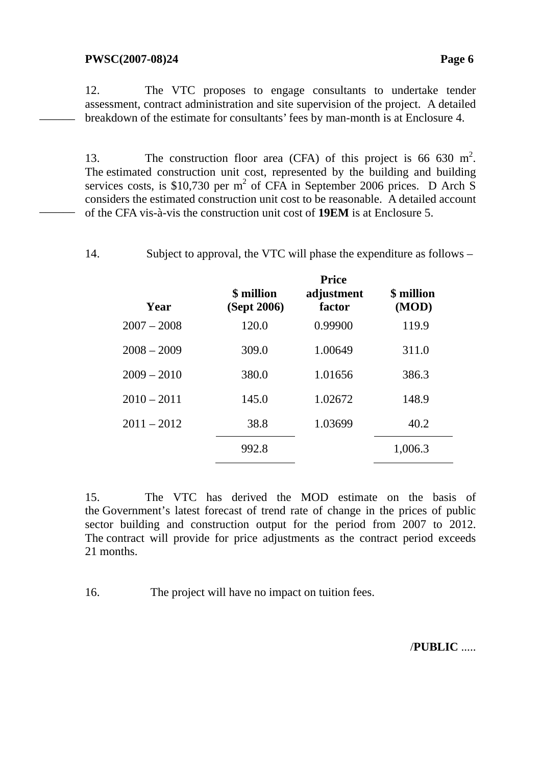#### **PWSC(2007-08)24** Page 6

 $\overline{\phantom{a}}$ 

 $\overline{\phantom{a}}$ 

12. The VTC proposes to engage consultants to undertake tender assessment, contract administration and site supervision of the project. A detailed breakdown of the estimate for consultants' fees by man-month is at Enclosure 4.

13. The construction floor area (CFA) of this project is 66 630 m<sup>2</sup>. The estimated construction unit cost, represented by the building and building services costs, is \$10,730 per  $m^2$  of CFA in September 2006 prices. D Arch S considers the estimated construction unit cost to be reasonable.A detailed account of the CFA vis-à-vis the construction unit cost of **19EM** is at Enclosure 5.

14. Subject to approval, the VTC will phase the expenditure as follows –

| Year          | \$ million<br>(Sept 2006) | <b>Price</b><br>adjustment<br>factor | \$ million<br>(MOD) |  |
|---------------|---------------------------|--------------------------------------|---------------------|--|
| $2007 - 2008$ | 120.0                     | 0.99900                              | 119.9               |  |
| $2008 - 2009$ | 309.0                     | 1.00649                              | 311.0               |  |
| $2009 - 2010$ | 380.0                     | 1.01656                              | 386.3               |  |
| $2010 - 2011$ | 145.0                     | 1.02672                              | 148.9               |  |
| $2011 - 2012$ | 38.8                      | 1.03699                              | 40.2                |  |
|               | 992.8                     |                                      | 1,006.3             |  |
|               |                           |                                      |                     |  |

15. The VTC has derived the MOD estimate on the basis of the Government's latest forecast of trend rate of change in the prices of public sector building and construction output for the period from 2007 to 2012. The contract will provide for price adjustments as the contract period exceeds 21 months.

16. The project will have no impact on tuition fees.

/**PUBLIC** .....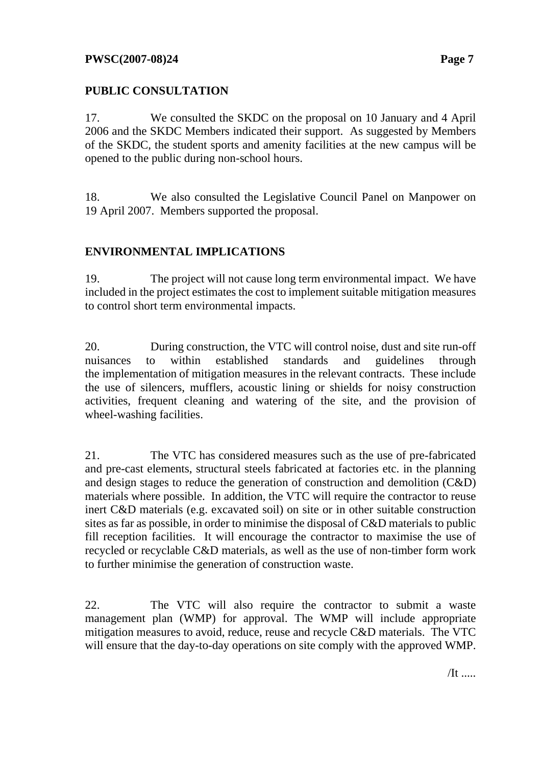# **PUBLIC CONSULTATION**

17. We consulted the SKDC on the proposal on 10 January and 4 April 2006 and the SKDC Members indicated their support. As suggested by Members of the SKDC, the student sports and amenity facilities at the new campus will be opened to the public during non-school hours.

18. We also consulted the Legislative Council Panel on Manpower on 19 April 2007. Members supported the proposal.

# **ENVIRONMENTAL IMPLICATIONS**

19. The project will not cause long term environmental impact. We have included in the project estimates the cost to implement suitable mitigation measures to control short term environmental impacts.

20. During construction, the VTC will control noise, dust and site run-off nuisances to within established standards and guidelines through the implementation of mitigation measures in the relevant contracts. These include the use of silencers, mufflers, acoustic lining or shields for noisy construction activities, frequent cleaning and watering of the site, and the provision of wheel-washing facilities.

21. The VTC has considered measures such as the use of pre-fabricated and pre-cast elements, structural steels fabricated at factories etc. in the planning and design stages to reduce the generation of construction and demolition (C&D) materials where possible. In addition, the VTC will require the contractor to reuse inert C&D materials (e.g. excavated soil) on site or in other suitable construction sites as far as possible, in order to minimise the disposal of C&D materials to public fill reception facilities. It will encourage the contractor to maximise the use of recycled or recyclable C&D materials, as well as the use of non-timber form work to further minimise the generation of construction waste.

22. The VTC will also require the contractor to submit a waste management plan (WMP) for approval. The WMP will include appropriate mitigation measures to avoid, reduce, reuse and recycle C&D materials. The VTC will ensure that the day-to-day operations on site comply with the approved WMP.

 $/It$  .....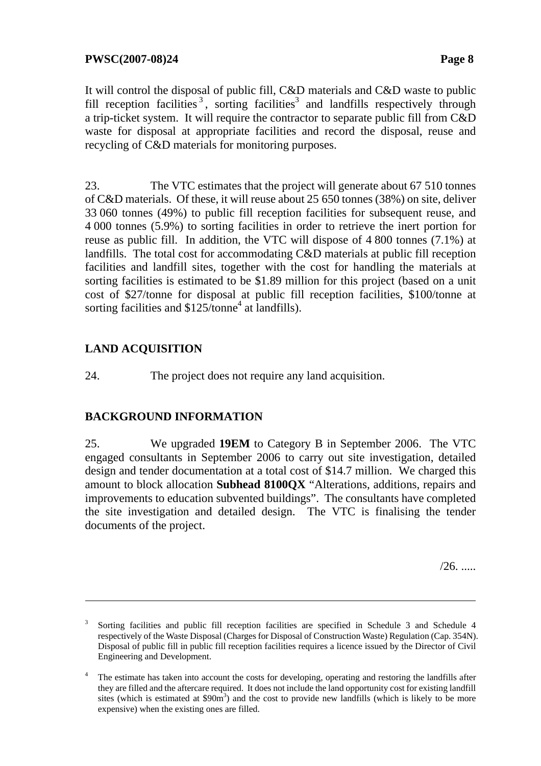It will control the disposal of public fill, C&D materials and C&D waste to public fill reception facilities<sup>3</sup>, sorting facilities<sup>3</sup> and landfills respectively through a trip-ticket system. It will require the contractor to separate public fill from C&D waste for disposal at appropriate facilities and record the disposal, reuse and recycling of C&D materials for monitoring purposes.

23. The VTC estimates that the project will generate about 67 510 tonnes of C&D materials. Of these, it will reuse about 25 650 tonnes (38%) on site, deliver 33 060 tonnes (49%) to public fill reception facilities for subsequent reuse, and 4 000 tonnes (5.9%) to sorting facilities in order to retrieve the inert portion for reuse as public fill. In addition, the VTC will dispose of 4 800 tonnes (7.1%) at landfills. The total cost for accommodating C&D materials at public fill reception facilities and landfill sites, together with the cost for handling the materials at sorting facilities is estimated to be \$1.89 million for this project (based on a unit cost of \$27/tonne for disposal at public fill reception facilities, \$100/tonne at sorting facilities and  $$125$ /tonne<sup>4</sup> at landfills).

# **LAND ACQUISITION**

 $\overline{a}$ 

24. The project does not require any land acquisition.

# **BACKGROUND INFORMATION**

25. We upgraded **19EM** to Category B in September 2006. The VTC engaged consultants in September 2006 to carry out site investigation, detailed design and tender documentation at a total cost of \$14.7 million. We charged this amount to block allocation **Subhead 8100QX** "Alterations, additions, repairs and improvements to education subvented buildings". The consultants have completed the site investigation and detailed design. The VTC is finalising the tender documents of the project.

 $/26.$  .....

<sup>3</sup> Sorting facilities and public fill reception facilities are specified in Schedule 3 and Schedule 4 respectively of the Waste Disposal (Charges for Disposal of Construction Waste) Regulation (Cap. 354N). Disposal of public fill in public fill reception facilities requires a licence issued by the Director of Civil Engineering and Development.

<sup>4</sup> The estimate has taken into account the costs for developing, operating and restoring the landfills after they are filled and the aftercare required. It does not include the land opportunity cost for existing landfill sites (which is estimated at  $$90m^3$ ) and the cost to provide new landfills (which is likely to be more expensive) when the existing ones are filled.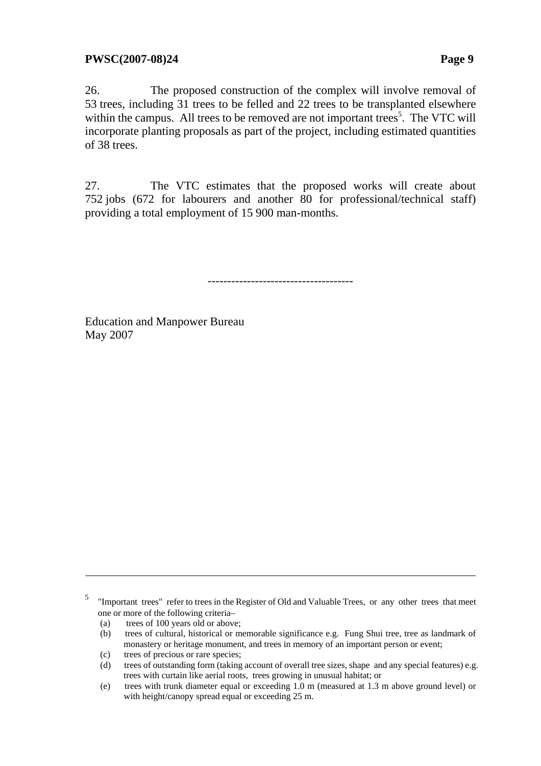26. The proposed construction of the complex will involve removal of 53 trees, including 31 trees to be felled and 22 trees to be transplanted elsewhere within the campus. All trees to be removed are not important trees<sup>5</sup>. The VTC will incorporate planting proposals as part of the project, including estimated quantities of 38 trees.

27. The VTC estimates that the proposed works will create about 752 jobs (672 for labourers and another 80 for professional/technical staff) providing a total employment of 15 900 man-months.

-------------------------------------

Education and Manpower Bureau May 2007

(a) trees of 100 years old or above;

- (b) trees of cultural, historical or memorable significance e.g. Fung Shui tree, tree as landmark of monastery or heritage monument, and trees in memory of an important person or event;
- (c) trees of precious or rare species;
- (d) trees of outstanding form (taking account of overall tree sizes, shape and any special features) e.g. trees with curtain like aerial roots, trees growing in unusual habitat; or
- (e) trees with trunk diameter equal or exceeding 1.0 m (measured at 1.3 m above ground level) or with height/canopy spread equal or exceeding 25 m.

<sup>5</sup> "Important trees" refer to trees in the Register of Old and Valuable Trees, or any other trees that meet one or more of the following criteria–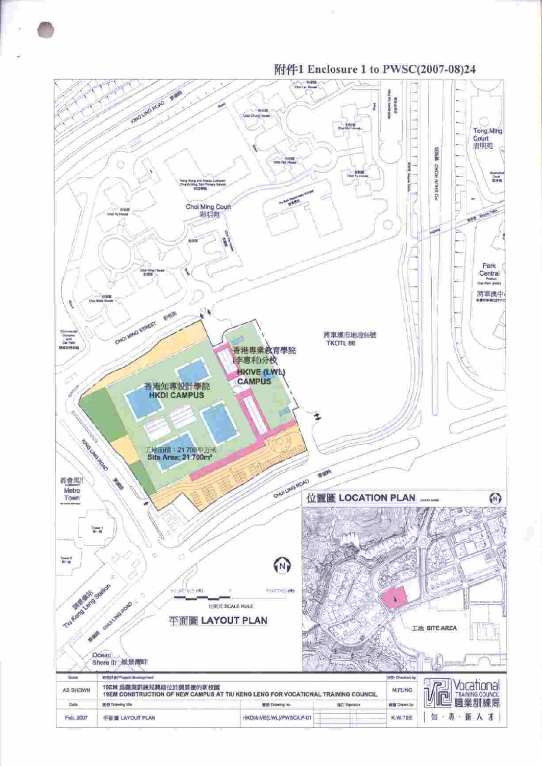

附件1 Enclosure 1 to PWSC(2007-08)24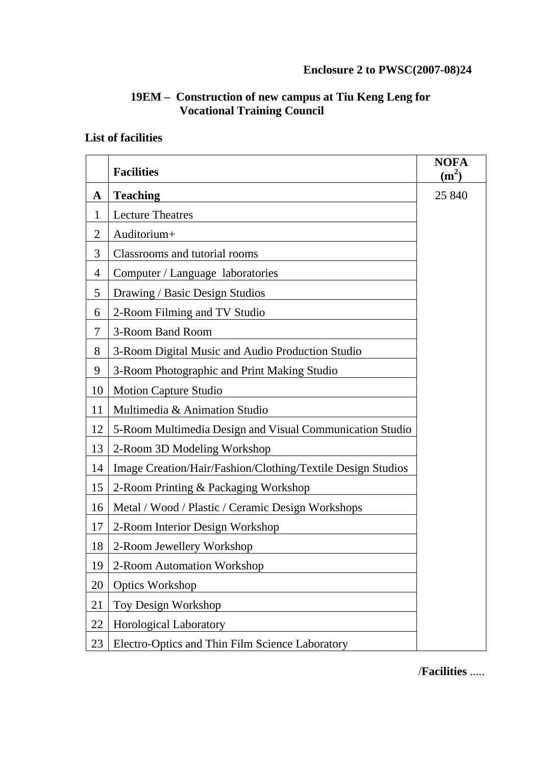# **19EM – Construction of new campus at Tiu Keng Leng for Vocational Training Council**

# **List of facilities**

|                | <b>Facilities</b>                                           | <b>NOFA</b><br>(m <sup>2</sup> ) |
|----------------|-------------------------------------------------------------|----------------------------------|
| $\mathbf A$    | <b>Teaching</b>                                             | 25 840                           |
| 1              | <b>Lecture Theatres</b>                                     |                                  |
| $\overline{2}$ | Auditorium+                                                 |                                  |
| 3              | Classrooms and tutorial rooms                               |                                  |
| 4              | Computer / Language laboratories                            |                                  |
| 5              | Drawing / Basic Design Studios                              |                                  |
| 6              | 2-Room Filming and TV Studio                                |                                  |
| 7              | 3-Room Band Room                                            |                                  |
| 8              | 3-Room Digital Music and Audio Production Studio            |                                  |
| 9              | 3-Room Photographic and Print Making Studio                 |                                  |
| 10             | <b>Motion Capture Studio</b>                                |                                  |
| 11             | Multimedia & Animation Studio                               |                                  |
| 12             | 5-Room Multimedia Design and Visual Communication Studio    |                                  |
| 13             | 2-Room 3D Modeling Workshop                                 |                                  |
| 14             | Image Creation/Hair/Fashion/Clothing/Textile Design Studios |                                  |
| 15             | 2-Room Printing & Packaging Workshop                        |                                  |
| 16             | Metal / Wood / Plastic / Ceramic Design Workshops           |                                  |
| 17             | 2-Room Interior Design Workshop                             |                                  |
| 18             | 2-Room Jewellery Workshop                                   |                                  |
| 19             | 2-Room Automation Workshop                                  |                                  |
| 20             | <b>Optics Workshop</b>                                      |                                  |
| 21             | Toy Design Workshop                                         |                                  |
| 22             | <b>Horological Laboratory</b>                               |                                  |
| 23             | Electro-Optics and Thin Film Science Laboratory             |                                  |

/**Facilities** .....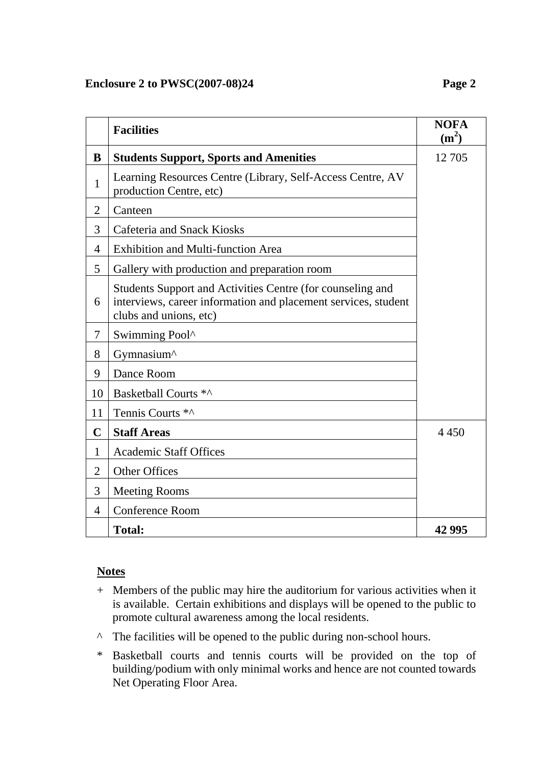### **Enclosure 2 to PWSC(2007-08)24 Page 2**

|                | <b>Facilities</b>                                                                                                                                      | <b>NOFA</b><br>$(m^2)$ |  |
|----------------|--------------------------------------------------------------------------------------------------------------------------------------------------------|------------------------|--|
| B              | <b>Students Support, Sports and Amenities</b>                                                                                                          | 12 705                 |  |
| $\mathbf{1}$   | Learning Resources Centre (Library, Self-Access Centre, AV<br>production Centre, etc)                                                                  |                        |  |
| $\overline{2}$ | Canteen                                                                                                                                                |                        |  |
| 3              | <b>Cafeteria and Snack Kiosks</b>                                                                                                                      |                        |  |
| $\overline{4}$ | <b>Exhibition and Multi-function Area</b>                                                                                                              |                        |  |
| 5              | Gallery with production and preparation room                                                                                                           |                        |  |
| 6              | Students Support and Activities Centre (for counseling and<br>interviews, career information and placement services, student<br>clubs and unions, etc) |                        |  |
| 7              | Swimming Pool^                                                                                                                                         |                        |  |
| 8              | Gymnasium^                                                                                                                                             |                        |  |
| 9              | Dance Room                                                                                                                                             |                        |  |
| 10             | Basketball Courts *^                                                                                                                                   |                        |  |
| 11             | Tennis Courts *^                                                                                                                                       |                        |  |
| $\mathbf C$    | <b>Staff Areas</b>                                                                                                                                     | 4 4 5 0                |  |
| $\mathbf{1}$   | <b>Academic Staff Offices</b>                                                                                                                          |                        |  |
| $\overline{2}$ | <b>Other Offices</b>                                                                                                                                   |                        |  |
| 3              | <b>Meeting Rooms</b>                                                                                                                                   |                        |  |
| $\overline{4}$ | <b>Conference Room</b>                                                                                                                                 |                        |  |
|                | <b>Total:</b>                                                                                                                                          | 42 995                 |  |

#### **Notes**

- + Members of the public may hire the auditorium for various activities when it is available. Certain exhibitions and displays will be opened to the public to promote cultural awareness among the local residents.
- ^ The facilities will be opened to the public during non-school hours.
- \* Basketball courts and tennis courts will be provided on the top of building/podium with only minimal works and hence are not counted towards Net Operating Floor Area.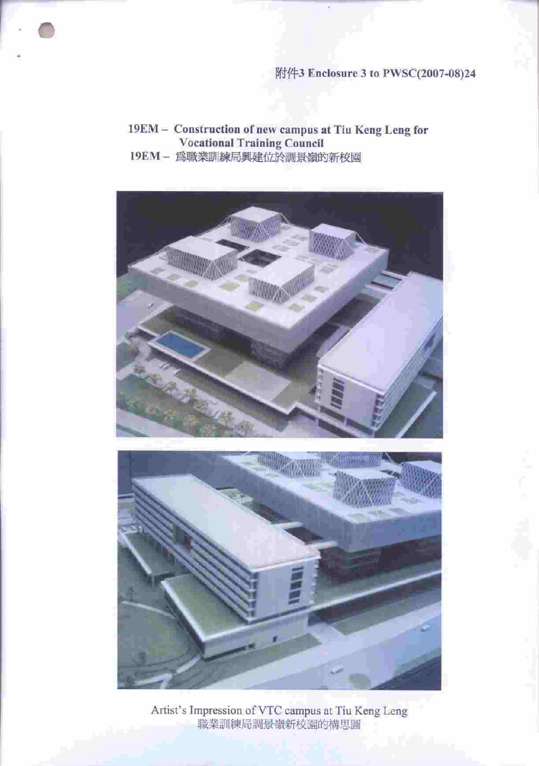# 附件3 Enclosure 3 to PWSC(2007-08)24

19EM - Construction of new campus at Tiu Keng Leng for **Vocational Training Council** 19EM- 為職業訓練局興建位於調景嶺的新校園





Artist's Impression of VTC campus at Tiu Keng Leng<br>職業訓練局調景嶺新校園的構思圖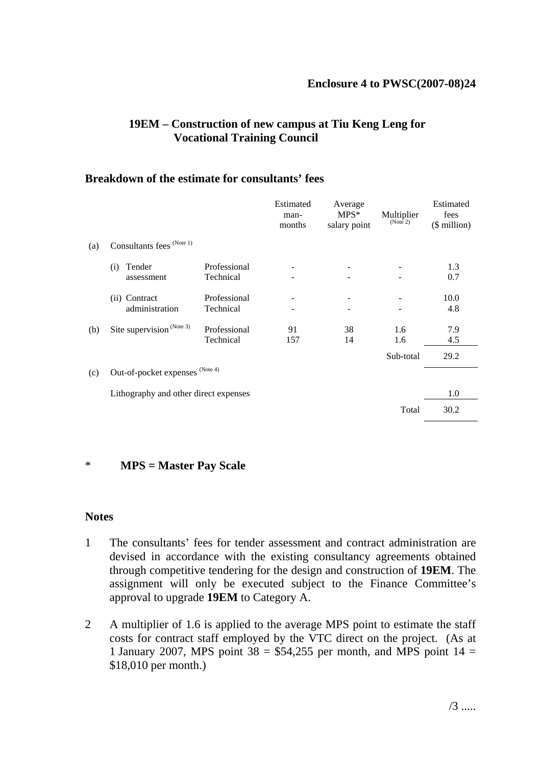### **Enclosure 4 to PWSC(2007-08)24**

## **19EM – Construction of new campus at Tiu Keng Leng for Vocational Training Council**

#### **Breakdown of the estimate for consultants' fees**

|     |                                       |                           | Estimated<br>man-<br>months | Average<br>$MPS*$<br>salary point | Multiplier<br>(Note 2) | Estimated<br>fees<br>$($$ million $)$ |
|-----|---------------------------------------|---------------------------|-----------------------------|-----------------------------------|------------------------|---------------------------------------|
| (a) | Consultants fees (Note 1)             |                           |                             |                                   |                        |                                       |
|     | Tender<br>(i)<br>assessment           | Professional<br>Technical |                             |                                   |                        | 1.3<br>0.7                            |
|     | Contract<br>(ii)<br>administration    | Professional<br>Technical |                             |                                   |                        | 10.0<br>4.8                           |
| (b) | Site supervision <sup>(Note 3)</sup>  | Professional<br>Technical | 91<br>157                   | 38<br>14                          | 1.6<br>1.6             | 7.9<br>4.5                            |
|     |                                       |                           |                             |                                   | Sub-total              | 29.2                                  |
| (c) | Out-of-pocket expenses (Note 4)       |                           |                             |                                   |                        |                                       |
|     | Lithography and other direct expenses |                           |                             |                                   |                        | 1.0                                   |
|     |                                       |                           |                             |                                   | Total                  | 30.2                                  |

#### \* **MPS = Master Pay Scale**

#### **Notes**

- 1 The consultants' fees for tender assessment and contract administration are devised in accordance with the existing consultancy agreements obtained through competitive tendering for the design and construction of **19EM**. The assignment will only be executed subject to the Finance Committee's approval to upgrade **19EM** to Category A.
- 2 A multiplier of 1.6 is applied to the average MPS point to estimate the staff costs for contract staff employed by the VTC direct on the project. (As at 1 January 2007, MPS point  $38 = $54,255$  per month, and MPS point  $14 =$ \$18,010 per month.)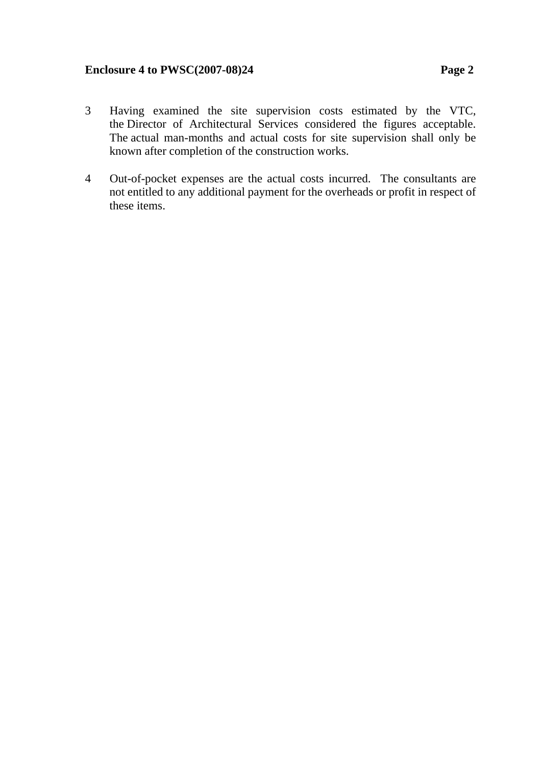### **Enclosure 4 to PWSC(2007-08)24 Page 2**

- 3 Having examined the site supervision costs estimated by the VTC, the Director of Architectural Services considered the figures acceptable. The actual man-months and actual costs for site supervision shall only be known after completion of the construction works.
- 4 Out-of-pocket expenses are the actual costs incurred. The consultants are not entitled to any additional payment for the overheads or profit in respect of these items.